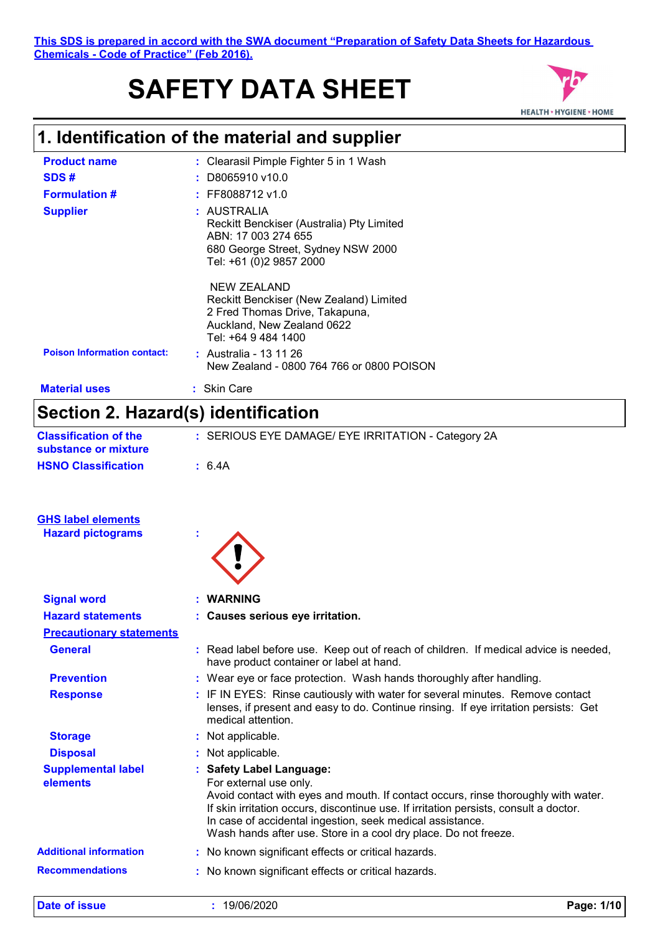# **SAFETY DATA SHEET**



### **1. Identification of the material and supplier**

| <b>Product name</b>                                   | : Clearasil Pimple Fighter 5 in 1 Wash                                                                                                                                                                                                                                                                                                                            |
|-------------------------------------------------------|-------------------------------------------------------------------------------------------------------------------------------------------------------------------------------------------------------------------------------------------------------------------------------------------------------------------------------------------------------------------|
| SDS#                                                  | D8065910 v10.0                                                                                                                                                                                                                                                                                                                                                    |
| <b>Formulation #</b>                                  | : FF8088712 v1.0                                                                                                                                                                                                                                                                                                                                                  |
| <b>Supplier</b>                                       | : AUSTRALIA<br>Reckitt Benckiser (Australia) Pty Limited<br>ABN: 17 003 274 655<br>680 George Street, Sydney NSW 2000<br>Tel: +61 (0)2 9857 2000                                                                                                                                                                                                                  |
| <b>Poison Information contact:</b>                    | <b>NEW ZEALAND</b><br>Reckitt Benckiser (New Zealand) Limited<br>2 Fred Thomas Drive, Takapuna,<br>Auckland, New Zealand 0622<br>Tel: +64 9 484 1400<br>: Australia - 13 11 26                                                                                                                                                                                    |
|                                                       | New Zealand - 0800 764 766 or 0800 POISON                                                                                                                                                                                                                                                                                                                         |
| <b>Material uses</b>                                  | : Skin Care                                                                                                                                                                                                                                                                                                                                                       |
| Section 2. Hazard(s) identification                   |                                                                                                                                                                                                                                                                                                                                                                   |
| <b>Classification of the</b><br>substance or mixture  | : SERIOUS EYE DAMAGE/ EYE IRRITATION - Category 2A                                                                                                                                                                                                                                                                                                                |
| <b>HSNO Classification</b>                            | : 6.4A                                                                                                                                                                                                                                                                                                                                                            |
|                                                       |                                                                                                                                                                                                                                                                                                                                                                   |
| <b>GHS label elements</b><br><b>Hazard pictograms</b> |                                                                                                                                                                                                                                                                                                                                                                   |
|                                                       |                                                                                                                                                                                                                                                                                                                                                                   |
| <b>Signal word</b>                                    | : WARNING                                                                                                                                                                                                                                                                                                                                                         |
| <b>Hazard statements</b>                              | : Causes serious eye irritation.                                                                                                                                                                                                                                                                                                                                  |
| <b>Precautionary statements</b>                       |                                                                                                                                                                                                                                                                                                                                                                   |
| <b>General</b>                                        | : Read label before use. Keep out of reach of children. If medical advice is needed,<br>have product container or label at hand.                                                                                                                                                                                                                                  |
| <b>Prevention</b>                                     | : Wear eye or face protection. Wash hands thoroughly after handling.                                                                                                                                                                                                                                                                                              |
| <b>Response</b>                                       | : IF IN EYES: Rinse cautiously with water for several minutes. Remove contact<br>lenses, if present and easy to do. Continue rinsing. If eye irritation persists: Get<br>medical attention.                                                                                                                                                                       |
| <b>Storage</b>                                        | : Not applicable.                                                                                                                                                                                                                                                                                                                                                 |
| <b>Disposal</b>                                       | : Not applicable.                                                                                                                                                                                                                                                                                                                                                 |
| <b>Supplemental label</b><br>elements                 | : Safety Label Language:<br>For external use only.<br>Avoid contact with eyes and mouth. If contact occurs, rinse thoroughly with water.<br>If skin irritation occurs, discontinue use. If irritation persists, consult a doctor.<br>In case of accidental ingestion, seek medical assistance.<br>Wash hands after use. Store in a cool dry place. Do not freeze. |
| <b>Additional information</b>                         | : No known significant effects or critical hazards.                                                                                                                                                                                                                                                                                                               |
| <b>Recommendations</b>                                | : No known significant effects or critical hazards.                                                                                                                                                                                                                                                                                                               |

**Date of issue :** 19/06/2020 **Page: 1/10**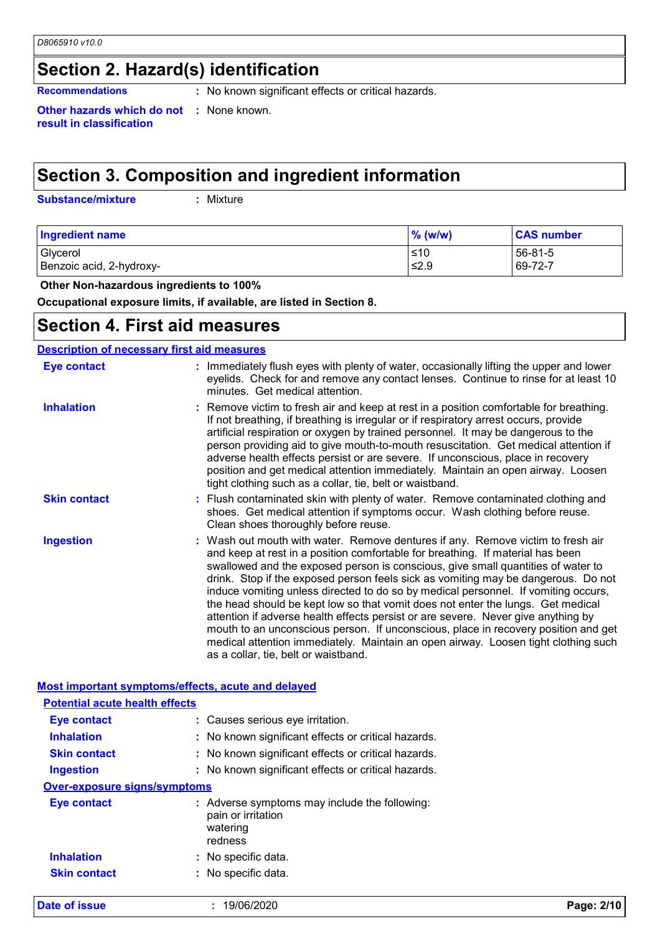### **Section 2. Hazard(s) identification**

**Recommendations :** No known significant effects or critical hazards.

**Other hazards which do not :** None known. **result in classification**

## **Section 3. Composition and ingredient information**

**Substance/mixture :**

: Mixture

| Ingredient name          | $%$ (w/w) | <b>CAS number</b> |
|--------------------------|-----------|-------------------|
| Glycerol                 | ≤10       | 56-81-5           |
| Benzoic acid, 2-hydroxy- | ≤2.9      | 69-72-7           |

 **Other Non-hazardous ingredients to 100%**

**Occupational exposure limits, if available, are listed in Section 8.**

### **Section 4. First aid measures**

### **Description of necessary first aid measures**

| <b>Eye contact</b>  | : Immediately flush eyes with plenty of water, occasionally lifting the upper and lower<br>eyelids. Check for and remove any contact lenses. Continue to rinse for at least 10<br>minutes. Get medical attention.                                                                                                                                                                                                                                                                                                                                                                                                                                                                                                                                                                                                            |
|---------------------|------------------------------------------------------------------------------------------------------------------------------------------------------------------------------------------------------------------------------------------------------------------------------------------------------------------------------------------------------------------------------------------------------------------------------------------------------------------------------------------------------------------------------------------------------------------------------------------------------------------------------------------------------------------------------------------------------------------------------------------------------------------------------------------------------------------------------|
| <b>Inhalation</b>   | : Remove victim to fresh air and keep at rest in a position comfortable for breathing.<br>If not breathing, if breathing is irregular or if respiratory arrest occurs, provide<br>artificial respiration or oxygen by trained personnel. It may be dangerous to the<br>person providing aid to give mouth-to-mouth resuscitation. Get medical attention if<br>adverse health effects persist or are severe. If unconscious, place in recovery<br>position and get medical attention immediately. Maintain an open airway. Loosen<br>tight clothing such as a collar, tie, belt or waistband.                                                                                                                                                                                                                                 |
| <b>Skin contact</b> | : Flush contaminated skin with plenty of water. Remove contaminated clothing and<br>shoes. Get medical attention if symptoms occur. Wash clothing before reuse.<br>Clean shoes thoroughly before reuse.                                                                                                                                                                                                                                                                                                                                                                                                                                                                                                                                                                                                                      |
| <b>Ingestion</b>    | : Wash out mouth with water. Remove dentures if any. Remove victim to fresh air<br>and keep at rest in a position comfortable for breathing. If material has been<br>swallowed and the exposed person is conscious, give small quantities of water to<br>drink. Stop if the exposed person feels sick as vomiting may be dangerous. Do not<br>induce vomiting unless directed to do so by medical personnel. If vomiting occurs,<br>the head should be kept low so that vomit does not enter the lungs. Get medical<br>attention if adverse health effects persist or are severe. Never give anything by<br>mouth to an unconscious person. If unconscious, place in recovery position and get<br>medical attention immediately. Maintain an open airway. Loosen tight clothing such<br>as a collar, tie, belt or waistband. |

| Most important symptoms/effects, acute and delayed |                                                                                            |            |
|----------------------------------------------------|--------------------------------------------------------------------------------------------|------------|
| <b>Potential acute health effects</b>              |                                                                                            |            |
| Eye contact                                        | : Causes serious eye irritation.                                                           |            |
| <b>Inhalation</b>                                  | : No known significant effects or critical hazards.                                        |            |
| <b>Skin contact</b>                                | : No known significant effects or critical hazards.                                        |            |
| <b>Ingestion</b>                                   | : No known significant effects or critical hazards.                                        |            |
| <b>Over-exposure signs/symptoms</b>                |                                                                                            |            |
| <b>Eye contact</b>                                 | : Adverse symptoms may include the following:<br>pain or irritation<br>watering<br>redness |            |
| <b>Inhalation</b>                                  | : No specific data.                                                                        |            |
| <b>Skin contact</b>                                | : No specific data.                                                                        |            |
| Date of issue                                      | 19/06/2020                                                                                 | Page: 2/10 |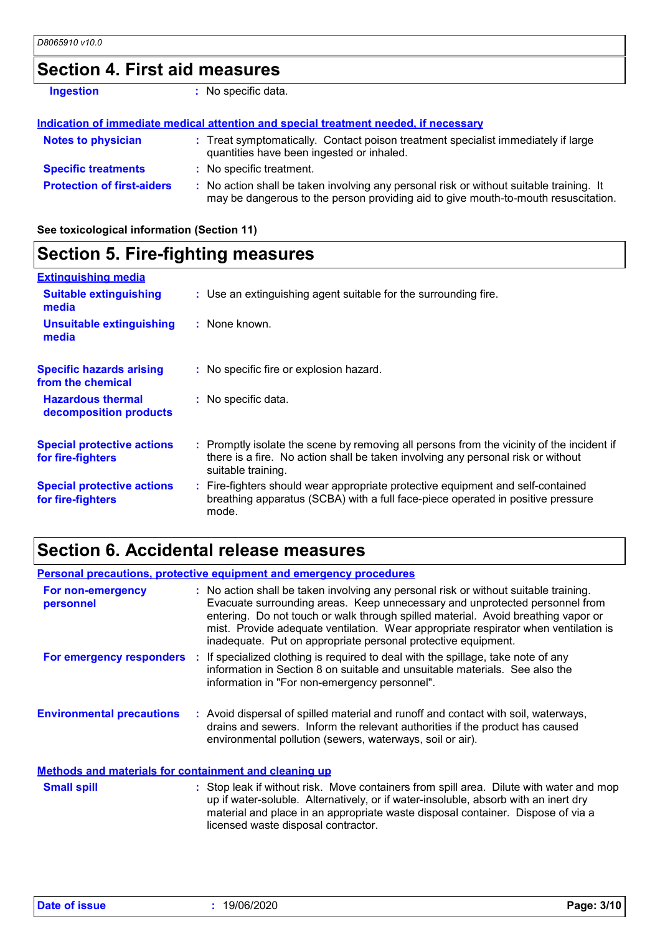### **Section 4. First aid measures**

| <b>Ingestion</b>                  | : No specific data.                                                                                                                                                           |
|-----------------------------------|-------------------------------------------------------------------------------------------------------------------------------------------------------------------------------|
|                                   | Indication of immediate medical attention and special treatment needed, if necessary                                                                                          |
| <b>Notes to physician</b>         | : Treat symptomatically. Contact poison treatment specialist immediately if large<br>quantities have been ingested or inhaled.                                                |
| <b>Specific treatments</b>        | : No specific treatment.                                                                                                                                                      |
| <b>Protection of first-aiders</b> | : No action shall be taken involving any personal risk or without suitable training. It<br>may be dangerous to the person providing aid to give mouth-to-mouth resuscitation. |

**See toxicological information (Section 11)**

| <b>Section 5. Fire-fighting measures</b>               |                                                                                                                                                                                                     |
|--------------------------------------------------------|-----------------------------------------------------------------------------------------------------------------------------------------------------------------------------------------------------|
| <b>Extinguishing media</b>                             |                                                                                                                                                                                                     |
| <b>Suitable extinguishing</b><br>media                 | : Use an extinguishing agent suitable for the surrounding fire.                                                                                                                                     |
| <b>Unsuitable extinguishing</b><br>media               | : None known.                                                                                                                                                                                       |
| <b>Specific hazards arising</b><br>from the chemical   | : No specific fire or explosion hazard.                                                                                                                                                             |
| <b>Hazardous thermal</b><br>decomposition products     | : No specific data.                                                                                                                                                                                 |
| <b>Special protective actions</b><br>for fire-fighters | : Promptly isolate the scene by removing all persons from the vicinity of the incident if<br>there is a fire. No action shall be taken involving any personal risk or without<br>suitable training. |
| <b>Special protective actions</b><br>for fire-fighters | : Fire-fighters should wear appropriate protective equipment and self-contained<br>breathing apparatus (SCBA) with a full face-piece operated in positive pressure<br>mode.                         |

### **Section 6. Accidental release measures**

|                                                              | <b>Personal precautions, protective equipment and emergency procedures</b>                                                                                                                                                                                                                                                                                                                                       |
|--------------------------------------------------------------|------------------------------------------------------------------------------------------------------------------------------------------------------------------------------------------------------------------------------------------------------------------------------------------------------------------------------------------------------------------------------------------------------------------|
| For non-emergency<br>personnel                               | : No action shall be taken involving any personal risk or without suitable training.<br>Evacuate surrounding areas. Keep unnecessary and unprotected personnel from<br>entering. Do not touch or walk through spilled material. Avoid breathing vapor or<br>mist. Provide adequate ventilation. Wear appropriate respirator when ventilation is<br>inadequate. Put on appropriate personal protective equipment. |
|                                                              | For emergency responders : If specialized clothing is required to deal with the spillage, take note of any<br>information in Section 8 on suitable and unsuitable materials. See also the<br>information in "For non-emergency personnel".                                                                                                                                                                       |
| <b>Environmental precautions</b>                             | : Avoid dispersal of spilled material and runoff and contact with soil, waterways,<br>drains and sewers. Inform the relevant authorities if the product has caused<br>environmental pollution (sewers, waterways, soil or air).                                                                                                                                                                                  |
| <b>Methods and materials for containment and cleaning up</b> |                                                                                                                                                                                                                                                                                                                                                                                                                  |
| <b>Small spill</b>                                           | : Stop leak if without risk. Move containers from spill area. Dilute with water and mop<br>up if water-soluble. Alternatively, or if water-insoluble, absorb with an inert dry<br>material and place in an appropriate waste disposal container. Dispose of via a<br>licensed waste disposal contractor.                                                                                                         |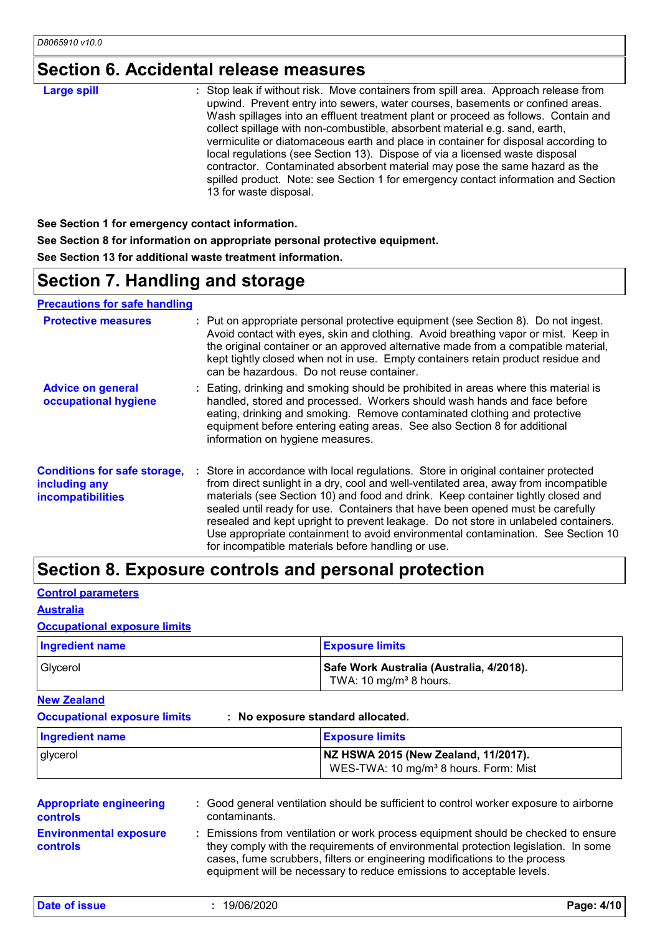### **Section 6. Accidental release measures**

| : Stop leak if without risk. Move containers from spill area. Approach release from<br><b>Large spill</b><br>upwind. Prevent entry into sewers, water courses, basements or confined areas.<br>Wash spillages into an effluent treatment plant or proceed as follows. Contain and<br>collect spillage with non-combustible, absorbent material e.g. sand, earth,<br>vermiculite or diatomaceous earth and place in container for disposal according to<br>local regulations (see Section 13). Dispose of via a licensed waste disposal<br>contractor. Contaminated absorbent material may pose the same hazard as the<br>spilled product. Note: see Section 1 for emergency contact information and Section<br>13 for waste disposal. |
|---------------------------------------------------------------------------------------------------------------------------------------------------------------------------------------------------------------------------------------------------------------------------------------------------------------------------------------------------------------------------------------------------------------------------------------------------------------------------------------------------------------------------------------------------------------------------------------------------------------------------------------------------------------------------------------------------------------------------------------|
|---------------------------------------------------------------------------------------------------------------------------------------------------------------------------------------------------------------------------------------------------------------------------------------------------------------------------------------------------------------------------------------------------------------------------------------------------------------------------------------------------------------------------------------------------------------------------------------------------------------------------------------------------------------------------------------------------------------------------------------|

**See Section 1 for emergency contact information. See Section 8 for information on appropriate personal protective equipment. See Section 13 for additional waste treatment information.**

### **Section 7. Handling and storage**

**Precautions for safe handling**

| <b>Protective measures</b>                                                       | : Put on appropriate personal protective equipment (see Section 8). Do not ingest.<br>Avoid contact with eyes, skin and clothing. Avoid breathing vapor or mist. Keep in<br>the original container or an approved alternative made from a compatible material,<br>kept tightly closed when not in use. Empty containers retain product residue and<br>can be hazardous. Do not reuse container.                                                                                                                                                                                    |
|----------------------------------------------------------------------------------|------------------------------------------------------------------------------------------------------------------------------------------------------------------------------------------------------------------------------------------------------------------------------------------------------------------------------------------------------------------------------------------------------------------------------------------------------------------------------------------------------------------------------------------------------------------------------------|
| <b>Advice on general</b><br>occupational hygiene                                 | : Eating, drinking and smoking should be prohibited in areas where this material is<br>handled, stored and processed. Workers should wash hands and face before<br>eating, drinking and smoking. Remove contaminated clothing and protective<br>equipment before entering eating areas. See also Section 8 for additional<br>information on hygiene measures.                                                                                                                                                                                                                      |
| <b>Conditions for safe storage,</b><br>including any<br><b>incompatibilities</b> | : Store in accordance with local regulations. Store in original container protected<br>from direct sunlight in a dry, cool and well-ventilated area, away from incompatible<br>materials (see Section 10) and food and drink. Keep container tightly closed and<br>sealed until ready for use. Containers that have been opened must be carefully<br>resealed and kept upright to prevent leakage. Do not store in unlabeled containers.<br>Use appropriate containment to avoid environmental contamination. See Section 10<br>for incompatible materials before handling or use. |

### **Section 8. Exposure controls and personal protection**

**Control parameters**

#### **Australia**

#### **Occupational exposure limits**

| <b>Ingredient name</b> | <b>Exposure limits</b>                                                         |
|------------------------|--------------------------------------------------------------------------------|
| Givcerol               | Safe Work Australia (Australia, 4/2018).<br>TWA: 10 mg/m <sup>3</sup> 8 hours. |

**New Zealand**

**Occupational exposure limits : No exposure standard allocated.**

| <b>Ingredient name</b> | <b>Exposure limits</b>                                                                    |
|------------------------|-------------------------------------------------------------------------------------------|
| glycerol               | NZ HSWA 2015 (New Zealand, 11/2017).<br>WES-TWA: 10 mg/m <sup>3</sup> 8 hours. Form: Mist |

| <b>Appropriate engineering</b>                   | : Good general ventilation should be sufficient to control worker exposure to airborne                                                                                                                                                                                                                                          |
|--------------------------------------------------|---------------------------------------------------------------------------------------------------------------------------------------------------------------------------------------------------------------------------------------------------------------------------------------------------------------------------------|
| <b>controls</b>                                  | contaminants.                                                                                                                                                                                                                                                                                                                   |
| <b>Environmental exposure</b><br><b>controls</b> | : Emissions from ventilation or work process equipment should be checked to ensure<br>they comply with the requirements of environmental protection legislation. In some<br>cases, fume scrubbers, filters or engineering modifications to the process<br>equipment will be necessary to reduce emissions to acceptable levels. |

**Date of issue :** 19/06/2020 **Page: 4/10**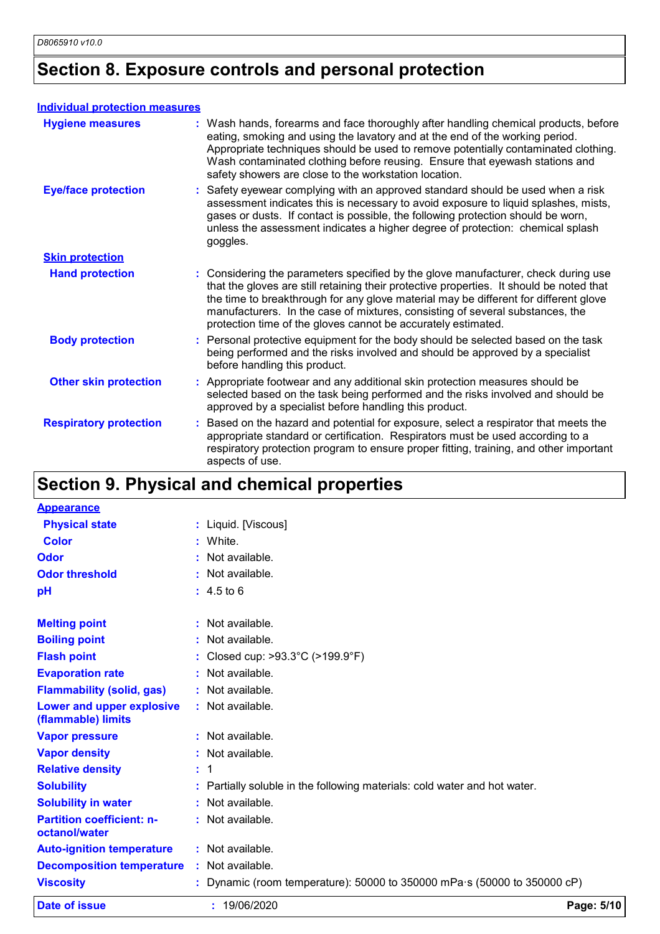### **Section 8. Exposure controls and personal protection**

#### **Individual protection measures**

| <b>Hygiene measures</b>       | : Wash hands, forearms and face thoroughly after handling chemical products, before<br>eating, smoking and using the lavatory and at the end of the working period.<br>Appropriate techniques should be used to remove potentially contaminated clothing.<br>Wash contaminated clothing before reusing. Ensure that eyewash stations and<br>safety showers are close to the workstation location.                        |
|-------------------------------|--------------------------------------------------------------------------------------------------------------------------------------------------------------------------------------------------------------------------------------------------------------------------------------------------------------------------------------------------------------------------------------------------------------------------|
| <b>Eye/face protection</b>    | : Safety eyewear complying with an approved standard should be used when a risk<br>assessment indicates this is necessary to avoid exposure to liquid splashes, mists,<br>gases or dusts. If contact is possible, the following protection should be worn,<br>unless the assessment indicates a higher degree of protection: chemical splash<br>goggles.                                                                 |
| <b>Skin protection</b>        |                                                                                                                                                                                                                                                                                                                                                                                                                          |
| <b>Hand protection</b>        | : Considering the parameters specified by the glove manufacturer, check during use<br>that the gloves are still retaining their protective properties. It should be noted that<br>the time to breakthrough for any glove material may be different for different glove<br>manufacturers. In the case of mixtures, consisting of several substances, the<br>protection time of the gloves cannot be accurately estimated. |
| <b>Body protection</b>        | : Personal protective equipment for the body should be selected based on the task<br>being performed and the risks involved and should be approved by a specialist<br>before handling this product.                                                                                                                                                                                                                      |
| <b>Other skin protection</b>  | : Appropriate footwear and any additional skin protection measures should be<br>selected based on the task being performed and the risks involved and should be<br>approved by a specialist before handling this product.                                                                                                                                                                                                |
| <b>Respiratory protection</b> | Based on the hazard and potential for exposure, select a respirator that meets the<br>appropriate standard or certification. Respirators must be used according to a<br>respiratory protection program to ensure proper fitting, training, and other important<br>aspects of use.                                                                                                                                        |

### **Section 9. Physical and chemical properties**

| <b>Appearance</b>                                 |                                                                                |            |
|---------------------------------------------------|--------------------------------------------------------------------------------|------------|
| <b>Physical state</b>                             | : Liquid. [Viscous]                                                            |            |
| <b>Color</b>                                      | White.                                                                         |            |
| <b>Odor</b>                                       | Not available.                                                                 |            |
| <b>Odor threshold</b>                             | : Not available.                                                               |            |
| pH                                                | $: 4.5 \text{ to } 6$                                                          |            |
| <b>Melting point</b>                              | : Not available.                                                               |            |
| <b>Boiling point</b>                              | : Not available.                                                               |            |
| <b>Flash point</b>                                | Closed cup: $>93.3^{\circ}$ C ( $>199.9^{\circ}$ F)                            |            |
| <b>Evaporation rate</b>                           | : Not available.                                                               |            |
| <b>Flammability (solid, gas)</b>                  | : Not available.                                                               |            |
| Lower and upper explosive<br>(flammable) limits   | : Not available.                                                               |            |
| <b>Vapor pressure</b>                             | : Not available.                                                               |            |
| <b>Vapor density</b>                              | : Not available.                                                               |            |
| <b>Relative density</b>                           | $\pm$ 1                                                                        |            |
| <b>Solubility</b>                                 | Partially soluble in the following materials: cold water and hot water.        |            |
| <b>Solubility in water</b>                        | : Not available.                                                               |            |
| <b>Partition coefficient: n-</b><br>octanol/water | : Not available.                                                               |            |
| <b>Auto-ignition temperature</b>                  | : Not available.                                                               |            |
| <b>Decomposition temperature</b>                  | : Not available.                                                               |            |
| <b>Viscosity</b>                                  | Dynamic (room temperature): 50000 to 350000 mPa $\cdot$ s (50000 to 350000 cP) |            |
| Date of issue                                     | : 19/06/2020                                                                   | Page: 5/10 |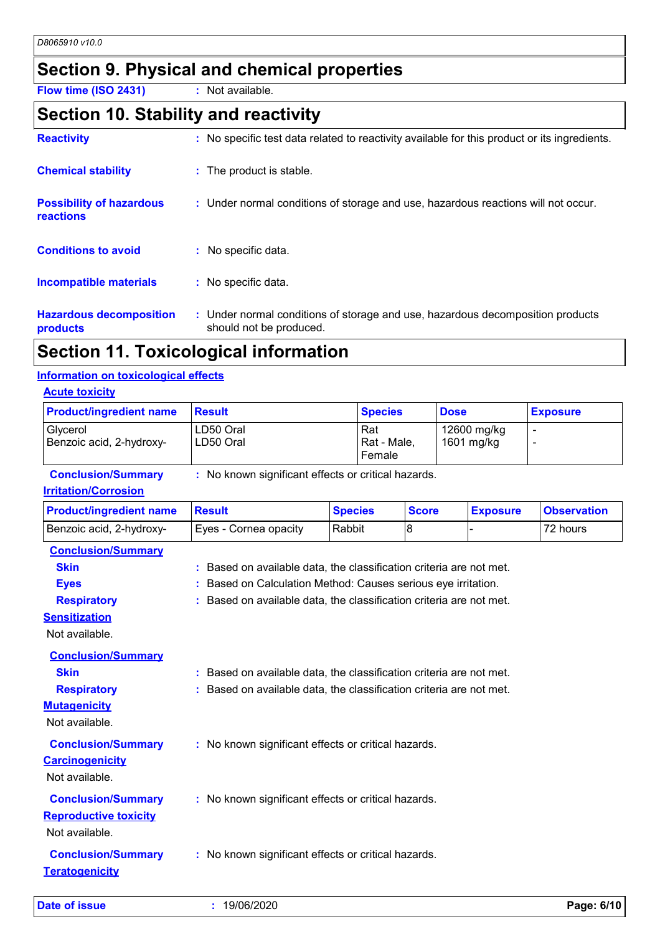### **Section 9. Physical and chemical properties**

**Flow time (ISO 2431) :** Not available.

### **Section 10. Stability and reactivity**

| <b>Reactivity</b>                            | : No specific test data related to reactivity available for this product or its ingredients.              |
|----------------------------------------------|-----------------------------------------------------------------------------------------------------------|
| <b>Chemical stability</b>                    | : The product is stable.                                                                                  |
| <b>Possibility of hazardous</b><br>reactions | : Under normal conditions of storage and use, hazardous reactions will not occur.                         |
| <b>Conditions to avoid</b>                   | : No specific data.                                                                                       |
| Incompatible materials                       | : No specific data.                                                                                       |
| <b>Hazardous decomposition</b><br>products   | : Under normal conditions of storage and use, hazardous decomposition products<br>should not be produced. |

### **Section 11. Toxicological information**

#### **Information on toxicological effects**

#### **Acute toxicity**

| <b>Product/ingredient name</b>       | Result                 | <b>Species</b>                | <b>Dose</b>               | <b>Exposure</b> |
|--------------------------------------|------------------------|-------------------------------|---------------------------|-----------------|
| Glycerol<br>Benzoic acid, 2-hydroxy- | LD50 Oral<br>LD50 Oral | 'Rat<br>Rat - Male,<br>Female | 12600 mg/kg<br>1601 mg/kg |                 |

**Conclusion/Summary :** No known significant effects or critical hazards.

#### **Irritation/Corrosion**

| <b>Product/ingredient name</b> | <b>Result</b>                                                           | <b>Species</b> | <b>Score</b> | <b>Exposure</b> | <b>Observation</b> |
|--------------------------------|-------------------------------------------------------------------------|----------------|--------------|-----------------|--------------------|
| Benzoic acid, 2-hydroxy-       | Eyes - Cornea opacity                                                   | Rabbit         | 8            |                 | 72 hours           |
| <b>Conclusion/Summary</b>      |                                                                         |                |              |                 |                    |
| <b>Skin</b>                    | Based on available data, the classification criteria are not met.<br>ŧ. |                |              |                 |                    |
| <b>Eyes</b>                    | Based on Calculation Method: Causes serious eye irritation.             |                |              |                 |                    |
| <b>Respiratory</b>             | Based on available data, the classification criteria are not met.       |                |              |                 |                    |
| <b>Sensitization</b>           |                                                                         |                |              |                 |                    |
| Not available.                 |                                                                         |                |              |                 |                    |
| <b>Conclusion/Summary</b>      |                                                                         |                |              |                 |                    |
| <b>Skin</b>                    | Based on available data, the classification criteria are not met.       |                |              |                 |                    |
| <b>Respiratory</b>             | Based on available data, the classification criteria are not met.       |                |              |                 |                    |
| <b>Mutagenicity</b>            |                                                                         |                |              |                 |                    |
| Not available.                 |                                                                         |                |              |                 |                    |
| <b>Conclusion/Summary</b>      | : No known significant effects or critical hazards.                     |                |              |                 |                    |
| <b>Carcinogenicity</b>         |                                                                         |                |              |                 |                    |
| Not available.                 |                                                                         |                |              |                 |                    |
| <b>Conclusion/Summary</b>      | : No known significant effects or critical hazards.                     |                |              |                 |                    |
| <b>Reproductive toxicity</b>   |                                                                         |                |              |                 |                    |
| Not available.                 |                                                                         |                |              |                 |                    |
|                                |                                                                         |                |              |                 |                    |
| <b>Conclusion/Summary</b>      | : No known significant effects or critical hazards.                     |                |              |                 |                    |
| <b>Teratogenicity</b>          |                                                                         |                |              |                 |                    |
| Date of issue                  | : 19/06/2020                                                            |                |              |                 | Page: 6/10         |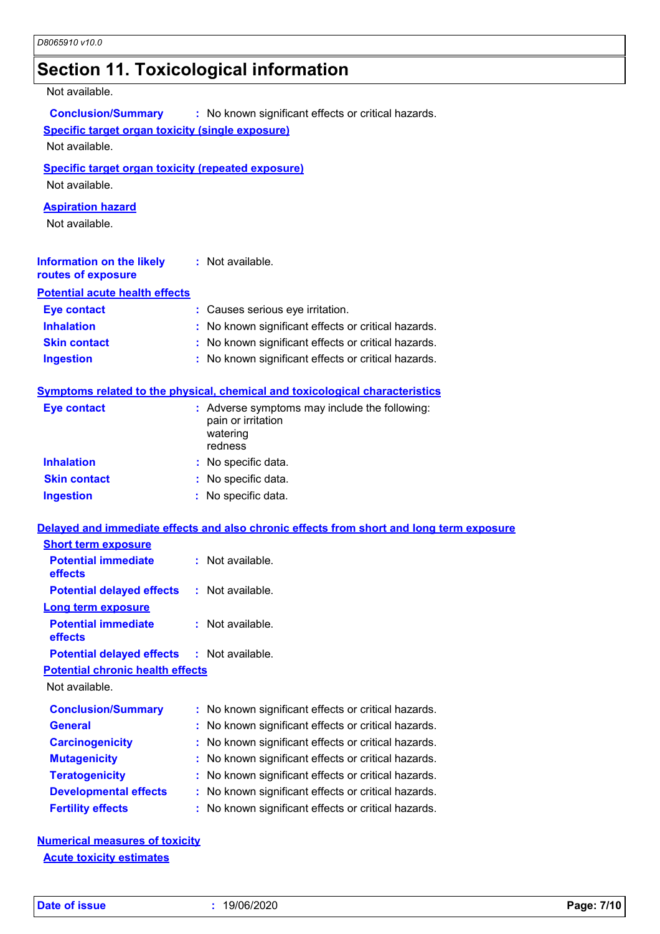### **Section 11. Toxicological information**

#### Not available.

| <b>Conclusion/Summary</b> | : No known significant effects or critical hazards. |
|---------------------------|-----------------------------------------------------|
|---------------------------|-----------------------------------------------------|

#### **Specific target organ toxicity (single exposure)**

Not available.

#### **Specific target organ toxicity (repeated exposure)**

Not available.

#### **Aspiration hazard**

Not available.

| <b>Information on the likely</b><br>routes of exposure | : Not available.                                    |
|--------------------------------------------------------|-----------------------------------------------------|
| <b>Potential acute health effects</b>                  |                                                     |
| <b>Eye contact</b>                                     | : Causes serious eye irritation.                    |
| <b>Inhalation</b>                                      | : No known significant effects or critical hazards. |
| <b>Skin contact</b>                                    | : No known significant effects or critical hazards. |
| <b>Ingestion</b>                                       | : No known significant effects or critical hazards. |

#### **Symptoms related to the physical, chemical and toxicological characteristics**

| Eye contact         | : Adverse symptoms may include the following:<br>pain or irritation<br>watering<br>redness |
|---------------------|--------------------------------------------------------------------------------------------|
| <b>Inhalation</b>   | : No specific data.                                                                        |
| <b>Skin contact</b> | : No specific data.                                                                        |
| <b>Ingestion</b>    | : No specific data.                                                                        |

|                                                   | Delayed and immediate effects and also chronic effects from short and long term exposure |
|---------------------------------------------------|------------------------------------------------------------------------------------------|
| <b>Short term exposure</b>                        |                                                                                          |
| <b>Potential immediate</b><br><b>effects</b>      | : Not available.                                                                         |
| <b>Potential delayed effects : Not available.</b> |                                                                                          |
| Long term exposure                                |                                                                                          |
| <b>Potential immediate</b><br><b>effects</b>      | : Not available.                                                                         |

**Potential delayed effects :** Not available.

#### **Potential chronic health effects**

Not available.

| <b>Conclusion/Summary</b>    | : No known significant effects or critical hazards. |
|------------------------------|-----------------------------------------------------|
| <b>General</b>               | : No known significant effects or critical hazards. |
| <b>Carcinogenicity</b>       | : No known significant effects or critical hazards. |
| <b>Mutagenicity</b>          | : No known significant effects or critical hazards. |
| <b>Teratogenicity</b>        | : No known significant effects or critical hazards. |
| <b>Developmental effects</b> | : No known significant effects or critical hazards. |
| <b>Fertility effects</b>     | : No known significant effects or critical hazards. |

**Numerical measures of toxicity Acute toxicity estimates**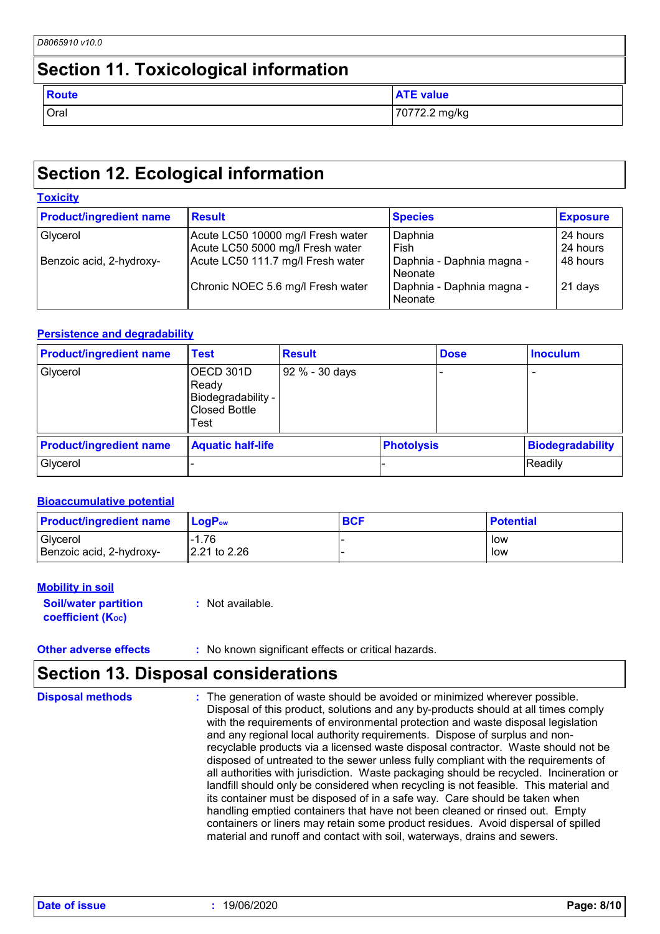### **Section 12. Ecological information**

#### **Toxicity**

| <b>Product/ingredient name</b> | <b>Result</b>                     | <b>Species</b>                       | <b>Exposure</b> |
|--------------------------------|-----------------------------------|--------------------------------------|-----------------|
| Glycerol                       | Acute LC50 10000 mg/l Fresh water | Daphnia                              | 24 hours        |
|                                | Acute LC50 5000 mg/l Fresh water  | Fish                                 | 24 hours        |
| Benzoic acid, 2-hydroxy-       | Acute LC50 111.7 mg/l Fresh water | Daphnia - Daphnia magna -<br>Neonate | 48 hours        |
|                                | Chronic NOEC 5.6 mg/l Fresh water | Daphnia - Daphnia magna -<br>Neonate | 21 days         |

#### **Persistence and degradability**

| <b>Product/ingredient name</b> | <b>Test</b>                                                              | <b>Result</b>  |                   | <b>Dose</b> | <b>Inoculum</b>         |
|--------------------------------|--------------------------------------------------------------------------|----------------|-------------------|-------------|-------------------------|
| Glycerol                       | OECD 301D<br>Ready<br>Biodegradability -<br><b>Closed Bottle</b><br>Test | 92 % - 30 days |                   |             |                         |
| <b>Product/ingredient name</b> | <b>Aquatic half-life</b>                                                 |                | <b>Photolysis</b> |             | <b>Biodegradability</b> |
| Glycerol                       |                                                                          |                |                   |             | Readily                 |

#### **Bioaccumulative potential**

| <b>Product/ingredient name</b> | $\mathsf{LogP}_\mathsf{ow}$ | <b>BCF</b> | <b>Potential</b> |
|--------------------------------|-----------------------------|------------|------------------|
| Glycerol                       | $-1.76$                     |            | low              |
| Benzoic acid, 2-hydroxy-       | 2.21 to 2.26                |            | low              |

#### **Mobility in soil**

**Soil/water partition coefficient (KOC)**

**:** Not available.

**Other adverse effects** : No known significant effects or critical hazards.

### **Section 13. Disposal considerations**

| <b>Disposal methods</b> | : The generation of waste should be avoided or minimized wherever possible.<br>Disposal of this product, solutions and any by-products should at all times comply<br>with the requirements of environmental protection and waste disposal legislation<br>and any regional local authority requirements. Dispose of surplus and non-<br>recyclable products via a licensed waste disposal contractor. Waste should not be<br>disposed of untreated to the sewer unless fully compliant with the requirements of<br>all authorities with jurisdiction. Waste packaging should be recycled. Incineration or<br>landfill should only be considered when recycling is not feasible. This material and<br>its container must be disposed of in a safe way. Care should be taken when<br>handling emptied containers that have not been cleaned or rinsed out. Empty |
|-------------------------|---------------------------------------------------------------------------------------------------------------------------------------------------------------------------------------------------------------------------------------------------------------------------------------------------------------------------------------------------------------------------------------------------------------------------------------------------------------------------------------------------------------------------------------------------------------------------------------------------------------------------------------------------------------------------------------------------------------------------------------------------------------------------------------------------------------------------------------------------------------|
|                         | containers or liners may retain some product residues. Avoid dispersal of spilled<br>material and runoff and contact with soil, waterways, drains and sewers.                                                                                                                                                                                                                                                                                                                                                                                                                                                                                                                                                                                                                                                                                                 |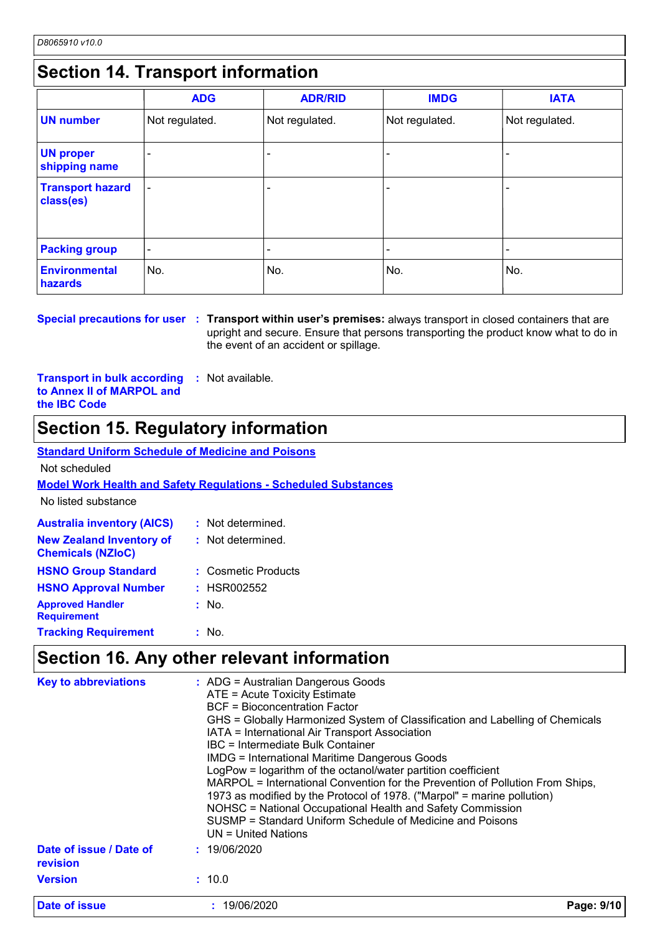### **Section 14. Transport information**

|                                      | <b>ADG</b>               | <b>ADR/RID</b> | <b>IMDG</b>              | <b>IATA</b>    |
|--------------------------------------|--------------------------|----------------|--------------------------|----------------|
| <b>UN number</b>                     | Not regulated.           | Not regulated. | Not regulated.           | Not regulated. |
| <b>UN proper</b><br>shipping name    | $\overline{\phantom{0}}$ |                | $\overline{\phantom{0}}$ | $\blacksquare$ |
| <b>Transport hazard</b><br>class(es) | $\overline{\phantom{a}}$ |                | $\overline{\phantom{0}}$ |                |
| <b>Packing group</b>                 | $\overline{\phantom{a}}$ |                | -                        |                |
| <b>Environmental</b><br>hazards      | No.                      | No.            | No.                      | No.            |

**Special precautions for user Transport within user's premises:** always transport in closed containers that are **:** upright and secure. Ensure that persons transporting the product know what to do in the event of an accident or spillage.

**Transport in bulk according to Annex II of MARPOL and the IBC Code :** Not available.

### **Section 15. Regulatory information**

| <b>Standard Uniform Schedule of Medicine and Poisons</b> |  |
|----------------------------------------------------------|--|
|                                                          |  |

Not scheduled

**Model Work Health and Safety Regulations - Scheduled Substances**

No listed substance

| <b>Australia inventory (AICS)</b>                           | : Not determined.   |
|-------------------------------------------------------------|---------------------|
| <b>New Zealand Inventory of</b><br><b>Chemicals (NZIoC)</b> | : Not determined.   |
| <b>HSNO Group Standard</b>                                  | : Cosmetic Products |
| <b>HSNO Approval Number</b>                                 | : HSR002552         |
| <b>Approved Handler</b><br><b>Requirement</b>               | : No.               |
| <b>Tracking Requirement</b>                                 | : No.               |

### **Section 16. Any other relevant information**

| revision                 |  |
|--------------------------|--|
| : 10.0<br><b>Version</b> |  |